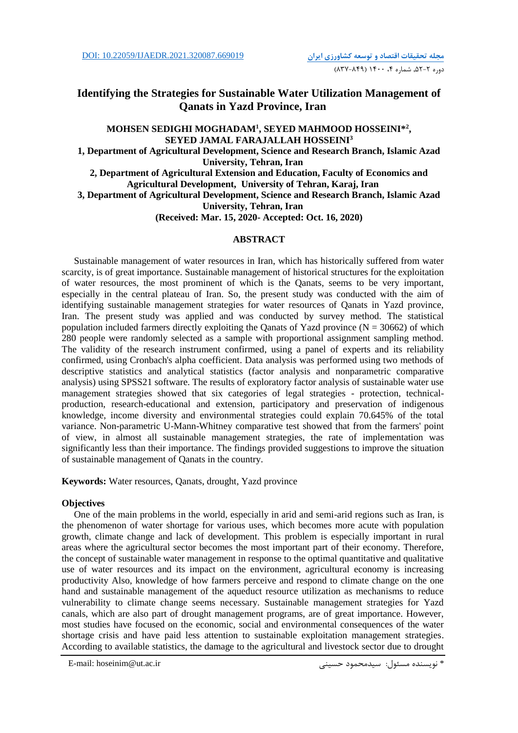# **Identifying the Strategies for Sustainable Water Utilization Management of Qanats in Yazd Province, Iran**

# **MOHSEN SEDIGHI MOGHADAM<sup>1</sup> , SEYED MAHMOOD HOSSEINI\* 2 , SEYED JAMAL FARAJALLAH HOSSEINI<sup>3</sup> 1, Department of Agricultural Development, Science and Research Branch, Islamic Azad University, Tehran, Iran 2, Department of Agricultural Extension and Education, Faculty of Economics and Agricultural Development, University of Tehran, Karaj, Iran 3, Department of Agricultural Development, Science and Research Branch, Islamic Azad University, Tehran, Iran (Received: Mar. 15, 2020- Accepted: Oct. 16, 2020)**

# **ABSTRACT**

Sustainable management of water resources in Iran, which has historically suffered from water scarcity, is of great importance. Sustainable management of historical structures for the exploitation of water resources, the most prominent of which is the Qanats, seems to be very important, especially in the central plateau of Iran. So, the present study was conducted with the aim of identifying sustainable management strategies for water resources of Qanats in Yazd province, Iran. The present study was applied and was conducted by survey method. The statistical population included farmers directly exploiting the Qanats of Yazd province  $(N = 30662)$  of which 280 people were randomly selected as a sample with proportional assignment sampling method. The validity of the research instrument confirmed, using a panel of experts and its reliability confirmed, using Cronbach's alpha coefficient. Data analysis was performed using two methods of descriptive statistics and analytical statistics (factor analysis and nonparametric comparative analysis) using SPSS21 software. The results of exploratory factor analysis of sustainable water use management strategies showed that six categories of legal strategies - protection, technicalproduction, research-educational and extension, participatory and preservation of indigenous knowledge, income diversity and environmental strategies could explain 70.645% of the total variance. Non-parametric U-Mann-Whitney comparative test showed that from the farmers' point of view, in almost all sustainable management strategies, the rate of implementation was significantly less than their importance. The findings provided suggestions to improve the situation of sustainable management of Qanats in the country.

**Keywords:** Water resources, Qanats, drought, Yazd province

### **Objectives**

One of the main problems in the world, especially in arid and semi-arid regions such as Iran, is the phenomenon of water shortage for various uses, which becomes more acute with population growth, climate change and lack of development. This problem is especially important in rural areas where the agricultural sector becomes the most important part of their economy. Therefore, the concept of sustainable water management in response to the optimal quantitative and qualitative use of water resources and its impact on the environment, agricultural economy is increasing productivity Also, knowledge of how farmers perceive and respond to climate change on the one hand and sustainable management of the aqueduct resource utilization as mechanisms to reduce vulnerability to climate change seems necessary. Sustainable management strategies for Yazd canals, which are also part of drought management programs, are of great importance. However, most studies have focused on the economic, social and environmental consequences of the water shortage crisis and have paid less attention to sustainable exploitation management strategies. According to available statistics, the damage to the agricultural and livestock sector due to drought

E-mail: hoseinim@ut.ac.ir حسینی سیدمحمود :مسئول نويسنده\*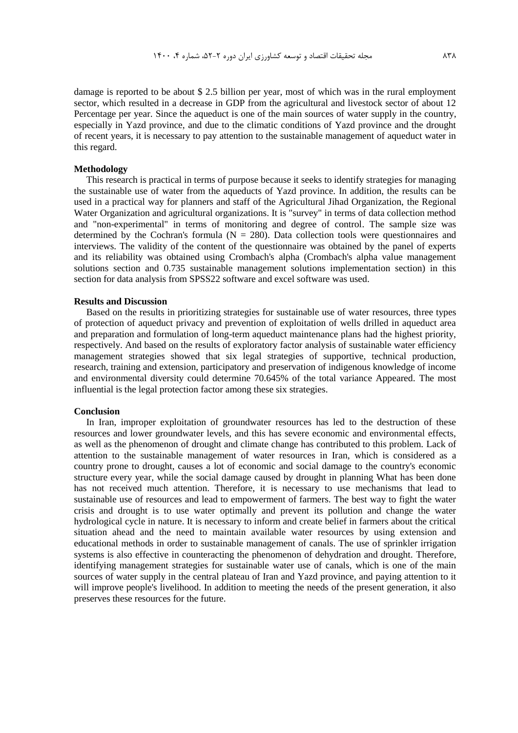damage is reported to be about \$ 2.5 billion per year, most of which was in the rural employment sector, which resulted in a decrease in GDP from the agricultural and livestock sector of about 12 Percentage per year. Since the aqueduct is one of the main sources of water supply in the country, especially in Yazd province, and due to the climatic conditions of Yazd province and the drought of recent years, it is necessary to pay attention to the sustainable management of aqueduct water in this regard.

### **Methodology**

This research is practical in terms of purpose because it seeks to identify strategies for managing the sustainable use of water from the aqueducts of Yazd province. In addition, the results can be used in a practical way for planners and staff of the Agricultural Jihad Organization, the Regional Water Organization and agricultural organizations. It is "survey" in terms of data collection method and "non-experimental" in terms of monitoring and degree of control. The sample size was determined by the Cochran's formula ( $N = 280$ ). Data collection tools were questionnaires and interviews. The validity of the content of the questionnaire was obtained by the panel of experts and its reliability was obtained using Crombach's alpha (Crombach's alpha value management solutions section and 0.735 sustainable management solutions implementation section) in this section for data analysis from SPSS22 software and excel software was used.

## **Results and Discussion**

Based on the results in prioritizing strategies for sustainable use of water resources, three types of protection of aqueduct privacy and prevention of exploitation of wells drilled in aqueduct area and preparation and formulation of long-term aqueduct maintenance plans had the highest priority, respectively. And based on the results of exploratory factor analysis of sustainable water efficiency management strategies showed that six legal strategies of supportive, technical production, research, training and extension, participatory and preservation of indigenous knowledge of income and environmental diversity could determine 70.645% of the total variance Appeared. The most influential is the legal protection factor among these six strategies.

### **Conclusion**

In Iran, improper exploitation of groundwater resources has led to the destruction of these resources and lower groundwater levels, and this has severe economic and environmental effects, as well as the phenomenon of drought and climate change has contributed to this problem. Lack of attention to the sustainable management of water resources in Iran, which is considered as a country prone to drought, causes a lot of economic and social damage to the country's economic structure every year, while the social damage caused by drought in planning What has been done has not received much attention. Therefore, it is necessary to use mechanisms that lead to sustainable use of resources and lead to empowerment of farmers. The best way to fight the water crisis and drought is to use water optimally and prevent its pollution and change the water hydrological cycle in nature. It is necessary to inform and create belief in farmers about the critical situation ahead and the need to maintain available water resources by using extension and educational methods in order to sustainable management of canals. The use of sprinkler irrigation systems is also effective in counteracting the phenomenon of dehydration and drought. Therefore, identifying management strategies for sustainable water use of canals, which is one of the main sources of water supply in the central plateau of Iran and Yazd province, and paying attention to it will improve people's livelihood. In addition to meeting the needs of the present generation, it also preserves these resources for the future.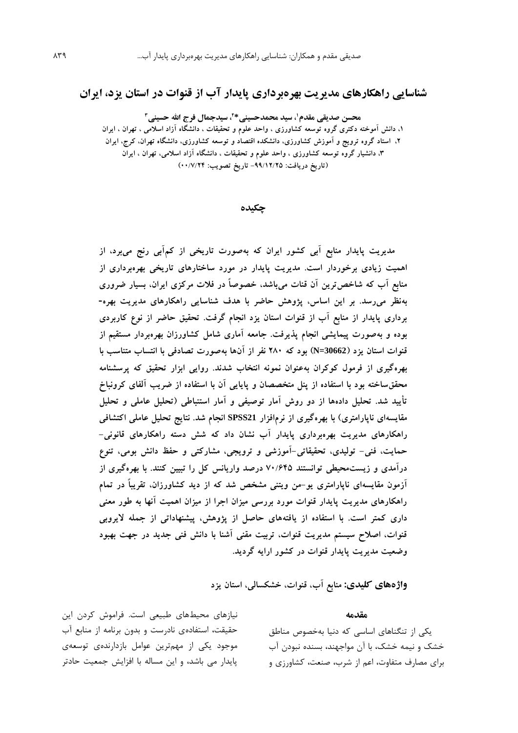# **شناسایی راهکارهای مدیریت بهرهبرداری پایدار آب از قنوات در استان یزد، ایران**

**\* ،<sup>1</sup> سید محمدحسینی محسن صدیقی مقدم ،<sup>2</sup> سیدجمال فرج اهلل حسینی<sup>3</sup> ،1 دانش آموخته دکتری گروه توسعه کشاورزی ، واحد علوم و تحقیقات ، دانشگاه آزاد اسالمی ، تهران ، ایران ،2 استاد گروه ترویج و آموزش کشاورزی، دانشکده اقتصاد و توسعه کشاورزی، دانشگاه تهران، کرج، ایران ،3 دانشیار گروه توسعه کشاورزی ، واحد علوم و تحقیقات ، دانشگاه آزاد اسالمی، تهران ، ایران )تاریخ دریافت: -99/12/25 تاریخ تصویب: 00/7/24(**

**چکیده**

**مدیریت پایدار منابع آبی کشور ایران که بهصورت تاریخی از کمآبی رنج میبرد، از اهمیت زیادی برخوردار است. مدیریت پایدار در مورد ساختارهای تاریخی بهرهبرداری از منابع آب که شاخصترین آن قنات میباشد، خصوصاً در فالت مرکزی ایران، بسیار ضروری بهنظر میرسد. بر این اساس، پژوهش حاضر با هدف شناسایی راهکارهای مدیریت بهره- برداری پایدار از منابع آب از قنوات استان یزد انجام گرفت. تحقیق حاضر از نوع کاربردی بوده و بهصورت پیمایشی انجام پذیرفت. جامعه آماری شامل کشاورزان بهرهبردار مستقیم از قنوات استان یزد )30662=N )بود که 280 نفر از آنها بهصورت تصادفی با انتساب متناسب با بهرهگیری از فرمول کوکران بهعنوان نمونه انتخاب شدند. روایی ابزار تحقیق که پرسشنامه محققساخته بود با استفاده از پنل متخصصان و پایایی آن با استفاده از ضریب آلفای کرونباخ تأیید شد. تحلیل دادهها از دو روش آمار توصیفی و آمار استنباطی )تحلیل عاملی و تحلیل مقایسهای ناپارامتری( با بهرهگیری از نرمافزار 21SPSS انجام شد. نتایج تحلیل عاملی اکتشافی راهکارهای مدیریت بهرهبرداری پایدار آب نشان داد که شش دسته راهکارهای قانونی- حمایت، فنی- تولیدی، تحقیقاتی-آموزشی و ترویجی، مشارکتی و حفظ دانش بومی، تنوع درآمدی و زیستمحیطی توانستند 70/645 درصد واریانس کل را تبیین کنند. با بهرهگیری از آزمون مقایسهای ناپارامتری یو-من ویتنی مشخص شد که از دید کشاورزان، تقریباً در تمام راهکارهای مدیریت پایدار قنوات مورد بررسی میزان اجرا از میزان اهمیت آنها به طور معنی داری کمتر است. با استفاده از یافتههای حاصل از پژوهش، پیشنهاداتی از جمله الیروبی قنوات، اصالح سیستم مدیریت قنوات، تربیت مقنی آشنا با دانش فنی جدید در جهت بهبود وضعیت مدیریت پایدار قنوات در کشور ارایه گردید.** 

**واژههای کلیدی: منابع آب، قنوات، خشکسالی، استان یزد**

#### **مقدمه**

يکی از تنگناهاي اساسی که دنیا بهخصوص مناطق خشک و نیمه خشک، با آن مواجهند، بسنده نبودن آب براي مصارف متفاوت، اعم از شرب، صنعت، کشاورزي و

نیازهاي محیطهاي طبیعی است. فراموش کردن اين حقیقت، استفادهي نادرست و بدون برنامه از منابع آب موجود يکی از مهمترين عوامل بازدارندهي توسعهي پايدار می باشد، و اين مساله با افزايش جمعیت حادتر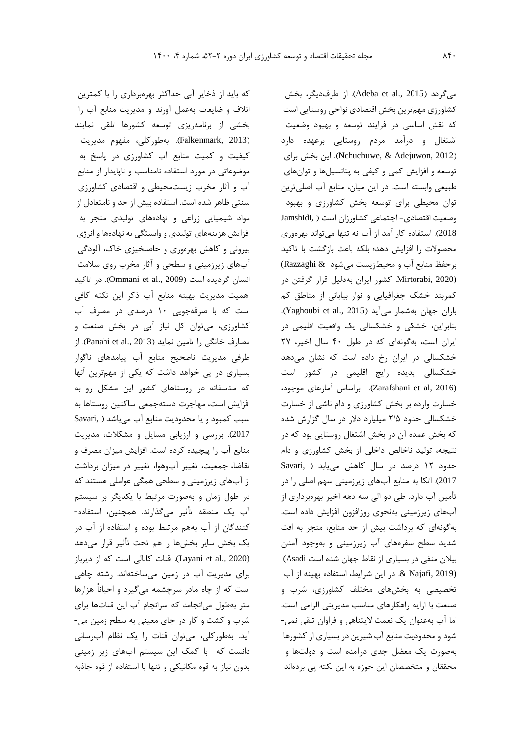که بايد از ذخاير آبی حداکثر بهرهبرداري را با کمترين اتالف و ضايعات بهعمل آورند و مديريت منابع آب را بخشی از برنامهريزي توسعه کشورها تلقی نمايند )2013 ,Falkenmark). بهطورکلی، مفهوم مديريت کیفیت و کمیت منابع آب کشاورزي در پاسخ به موضوعاتی در مورد استفاده نامناسب و ناپايدار از منابع آب و آثار مخرب زيستمحیطی و اقتصادي کشاورزي سنتی ظاهر شده است. استفاده بیش از حد و نامتعادل از مواد شیمیايی زراعی و نهادههاي تولیدي منجر به افزايش هزينههاي تولیدي و وابستگی به نهادهها و انرژي بیرونی و کاهش بهرهوري و حاصلخیزي خاك، آلودگی آبهاي زيرزمینی و سطحی و آثار مخرب روي سالمت انسان گرديده است (Ommani et al., 2009). در تاکيد اهمیت مديريت بهینه منابع آب ذکر اين نکته کافی است که با صرفهجويی 10 درصدي در مصرف آب کشاورزي، میتوان کل نیاز آبی در بخش صنعت و مصارف خانگی را تامین نماید (Panahi et al., 2013). از طرفی مديريت ناصحیح منابع آب پیامدهاي ناگوار بسیاري در پی خواهد داشت که يکی از مهمترين آنها که متاسفانه در روستاهاي کشور اين مشکل رو به افزايش است، مهاجرت دستهجمعی ساکنین روستاها به سبب کمبود و يا محدوديت منابع آب میباشد ) ,Savari 2017(. بررسی و ارزيابی مسايل و مشکالت، مديريت منابع آب را پیچیده کرده است. افزايش میزان مصرف و تقاضا، جمعیت، تغییر آبوهوا، تغییر در میزان برداشت از آبهاي زيرزمینی و سطحی همگی عواملی هستند که در طول زمان و بهصورت مرتبط با يکديگر بر سیستم آب يک منطقه تأثیر میگذارند. همچنین، استفاده- کنندگان از آب بههم مرتبط بوده و استفاده از آب در يک بخش ساير بخشها را هم تحت تأثیر قرار میدهد (Layani et al., 2020). قنات کانالی است که از ديرباز براي مديريت آب در زمین میساختهاند. رشته چاهی است که از چاه مادر سرچشمه میگیرد و احیاناً هزارها متر بهطول میانجامد که سرانجام آب اين قناتها براي شرب و کشت و کار در جاي معینی به سطح زمین می- آيد. بهطورکلی، میتوان قنات را يک نظام آبرسانی دانست که با کمک اين سیستم آبهاي زير زمینی بدون نیاز به قوه مکانیکی و تنها با استفاده از قوه جاذبه

میگردد )2015 .,al et Adeba). از طرفديگر، بخش کشاورزي مهمترين بخش اقتصادي نواحی روستايی است که نقش اساسی در فرايند توسعه و بهبود وضعیت اشتغال و درآمد مردم روستايی برعهده دارد )2012 ,Adejuwon & ,Nchuchuwe). اين بخش براي توسعه و افزايش کمی و کیفی به پتانسیلها و توانهاي طبیعی وابسته است. در اين میان، منابع آب اصلیترين توان محیطی براي توسعه بخش کشاورزي و بهبود وضعیت اقتصادي- اجتماعی کشاورزان است ) ,Jamshidi 2018(. استفاده کار آمد از آب نه تنها میتواند بهرهوري محصوالت را افزايش دهد؛ بلکه باعث بازگشت با تاکید برحفظ منابع آب و محیطزيست میشود & Razzaghi( (2020 ,Mirtorabi. کشور ايران بهدلیل قرار گرفتن در کمربند خشک جغرافیايی و نوار بیابانی از مناطق کم باران جهان بهشمار میآید (Yaghoubi et al., 2015). بنابراين، خشکی و خشکسالی يک واقعیت اقلیمی در ايران است، بهگونهاي که در طول 40 سال اخیر، 27 خشکسالی در ايران رخ داده است که نشان میدهد خشکسالی پديده رايج اقلیمی در کشور است (2016 ,al et Zarafshani(. براساس آمارهاي موجود، خسارت وارده بر بخش کشاورزي و دام ناشی از خسارت خشکسالی حدود 2/5 میلیارد دالر در سال گزارش شده که بخش عمده آن در بخش اشتغال روستايی بود که در نتیجه، تولید ناخالص داخلی از بخش کشاورزي و دام حدود 12 درصد در سال کاهش میيابد ) ,Savari 2017(. اتکا به منابع آبهاي زيرزمینی سهم اصلی را در تأمین آب دارد. طی دو الی سه دهه اخیر بهرهبرداري از آبهاي زيرزمینی بهنحوي روزافزون افزايش داده است. بهگونهاي که برداشت بیش از حد منابع، منجر به افت شديد سطح سفرههاي آب زيرزمینی و بهوجود آمدن بیالن منفی در بسیاري از نقاط جهان شده است Asadi( (2019 ,Najafi& . در اين شرايط، استفاده بهینه از آب تخصیصی به بخشهاي مختلف کشاورزي، شرب و صنعت با ارايه راهکارهاي مناسب مديريتی الزامی است. اما آب بهعنوان يک نعمت اليتناهی و فراوان تلقی نمی- شود و محدوديت منابع آب شیرين در بسیاري از کشورها بهصورت يک معضل جدي درآمده است و دولتها و محققان و متخصصان اين حوزه به اين نکته پی بردهاند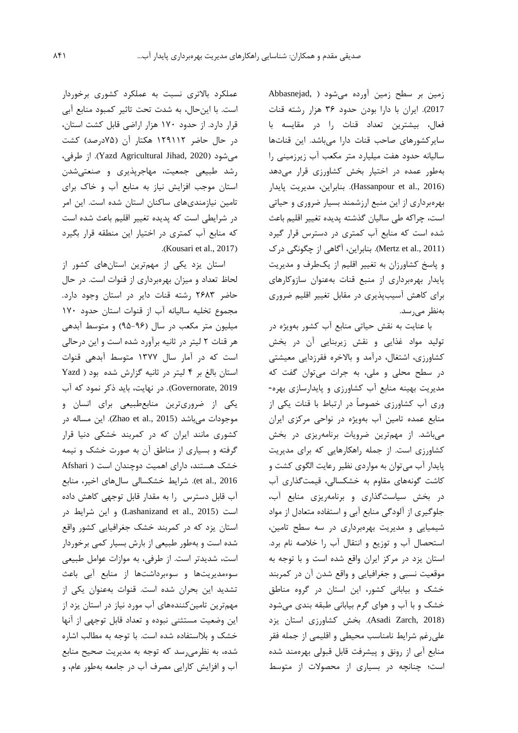زمین بر سطح زمین آورده میشود ) ,Abbasnejad 2017(. ايران با دارا بودن حدود 36 هزار رشته قنات فعال، بیشترين تعداد قنات را در مقايسه با سايرکشورهاي صاحب قنات دارا میباشد. اين قناتها سالیانه حدود هفت میلیارد متر مکعب آب زيرزمینی را بهطور عمده در اختیار بخش کشاورزي قرار میدهد )2016 .,al et Hassanpour). بنابراين، مديريت پايدار بهرهبرداري از اين منبع ارزشمند بسیار ضروري و حیاتی است، چراکه طی سالیان گذشته پديده تغییر اقلیم باعث شده است که منابع آب کمتري در دسترس قرار گیرد )2011 .,al et Mertz). بنابراين، آگاهی از چگونگی درك و پاسخ کشاورزان به تغییر اقلیم از يکطرف و مديريت پايدار بهرهبرداري از منبع قنات بهعنوان سازوکارهاي براي کاهش آسیبپذيري در مقابل تغییر اقلیم ضروري بهنظر میرسد.

با عنايت به نقش حیاتی منابع آب کشور بهويژه در تولید مواد غذايی و نقش زيربنايی آن در بخش کشاورزي، اشتغال، درآمد و باالخره فقرزدايی معیشتی در سطح محلی و ملی، به جرات میتوان گفت که مديريت بهینه منابع آب کشاورزي و پايدارسازي بهره- وري آب کشاورزي خصوصاً در ارتباط با قنات يکی از منابع عمده تامین آب بهويژه در نواحی مرکزي ايران میباشد. از مهمترين ضرويات برنامهريزي در بخش کشاورزي است. از جمله راهکارهايی که براي مديريت پايدار آب میتوان به مواردي نظیر رعايت الگوي کشت و کاشت گونههاي مقاوم به خشکسالی، قیمتگذاري آب در بخش سیاستگذاري و برنامهريزي منابع آب، جلوگیري از آلودگی منابع آبی و استفاده متعادل از مواد شیمیايی و مديريت بهرهبرداري در سه سطح تامین، استحصال آب و توزيع و انتقال آب را خالصه نام برد. استان يزد در مرکز ايران واقع شده است و با توجه به موقعیت نسبی و جغرافیايی و واقع شدن آن در کمربند خشک و بیابانی کشور، اين استان در گروه مناطق خشک و با آب و هواي گرم بیابانی طبقه بندي میشود )2018 ,Zarch Asadi). بخش کشاورزي استان يزد علیرغم شرايط نامناسب محیطی و اقلیمی از جمله فقر منابع آبی از رونق و پیشرفت قابل قبولی بهرهمند شده است؛ چنانچه در بسیاري از محصوالت از متوسط

عملکرد باالتري نسبت به عملکرد کشوري برخوردار است. با اينحال، به شدت تحت تاثیر کمبود منابع آبی قرار دارد. از حدود 170 هزار اراضی قابل کشت استان، در حال حاضر ۱۲۹۱۱۲ هکتار آن (۷۵درصد) کشت میشود )2020 ,Jihad Agricultural Yazd). از طرفی، رشد طبیعی جمعیت، مهاجرپذيري و صنعتیشدن استان موجب افزايش نیاز به منابع آب و خاك براي تامین نیازمنديهاي ساکنان استان شده است. اين امر در شرايطی است که پديده تغییر اقلیم باعث شده است که منابع آب کمتري در اختیار اين منطقه قرار بگیرد .(Kousari et al., 2017)

استان يزد يکی از مهمترين استانهاي کشور از لحاظ تعداد و میزان بهرهبرداري از قنوات است. در حال حاضر 2683 رشته قنات داير در استان وجود دارد. مجموع تخلیه سالیانه آب از قنوات استان حدود 170 میلیون متر مکعب در سال )95-96( و متوسط آبدهی هر قنات 2 لیتر در ثانیه برآورد شده است و اين درحالی است که در آمار سال 1377 متوسط آبدهی قنوات استان بالغ بر 4 لیتر در ثانیه گزارش شده بود ) Yazd 2019 ,Governorate). در نهايت، بايد ذکر نمود که آب يکی از ضروريترين منابعطبیعی براي انسان و موجودات میباشد (2015 .Zhao et al). اين مساله در کشوري مانند ايران که در کمربند خشکی دنیا قرار گرفته و بسیاري از مناطق آن به صورت خشک و نیمه خشک هستند، داراي اهمیت دوچندان است ) Afshari 2016 .,al et). شرايط خشکسالی سالهاي اخیر، منابع آب قابل دسترس را به مقدار قابل توجهی کاهش داده است )2015 .,al et Lashanizand )و اين شرايط در استان يزد که در کمربند خشک جغرافیايی کشور واقع شده است و بهطور طبیعی از بارش بسیار کمی برخوردار است، شديدتر است. از طرفی، به موازات عوامل طبیعی سوءمديريتها و سوءبرداشتها از منابع آبی باعث تشديد اين بحران شده است. قنوات بهعنوان يکی از مهمترين تامینکنندههاي آب مورد نیاز در استان يزد از اين وضعیت مستثنی نبوده و تعداد قابل توجهی از آنها خشک و بالاستفاده شده است. با توجه به مطالب اشاره شده، به نظرمیرسد که توجه به مديريت صحیح منابع آب و افزايش کارايی مصرف آب در جامعه بهطور عام، و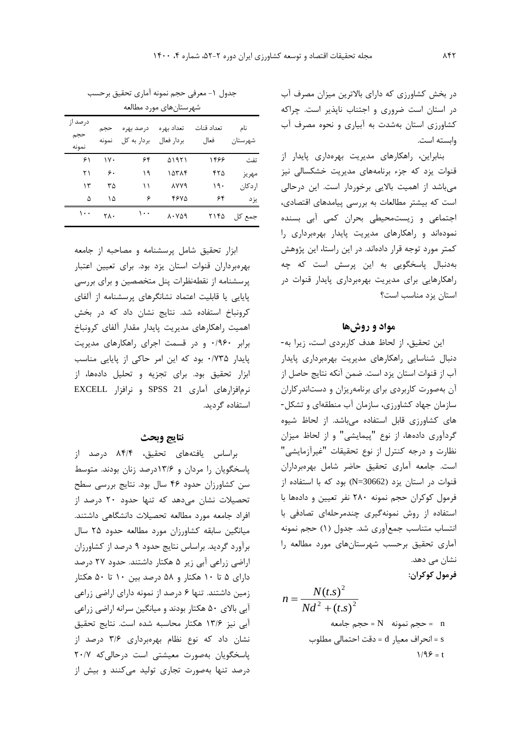در بخش کشاورزي که داراي باالترين میزان مصرف آب در استان است ضروري و اجتناب ناپذير است. چراکه کشاورزي استان بهشدت به آبیاري و نحوه مصرف آب وابسته است.

بنابراين، راهکارهاي مديريت بهرهداري پايدار از قنوات يزد که جزء برنامههاي مديريت خشکسالی نیز میباشد از اهمیت بااليی برخوردار است. اين درحالی است که بیشتر مطالعات به بررسی پیامدهاي اقتصادي، اجتماعی و زيستمحیطی بحران کمی آبی بسنده نمودهاند و راهکارهاي مديريت پايدار بهرهبرداري را کمتر مورد توجه قرار دادهاند. در اين راستا، اين پژوهش بهدنبال پاسخگويی به اين پرسش است که چه راهکارهايی براي مديريت بهرهبرداري پايدار قنوات در استان يزد مناسب است؟

# **مواد و روشها**

اين تحقیق، از لحاظ هدف کاربردي است، زيرا به- دنبال شناسايی راهکارهاي مديريت بهرهبرداري پايدار آب از قنوات استان يزد است. ضمن آنکه نتايج حاصل از آن بهصورت کاربردي براي برنامهريزان و دستاندرکاران سازمان جهاد کشاورزي، سازمان آب منطقهاي و تشکل- هاي کشاورزي قابل استفاده میباشد. از لحاظ شیوه گردآوري دادهها، از نوع "پیمايشی" و از لحاظ میزان نظارت و درجه کنترل از نوع تحقیقات "غیرآزمايشی" است. جامعه آماري تحقیق حاضر شامل بهرهبرداران قنوات در استان يزد )30662=N )بود که با استفاده از فرمول کوکران حجم نمونه 280 نفر تعیین و دادهها با استفاده از روش نمونهگیري چندمرحلهاي تصادفی با انتساب متناسب جمعآوري شد. جدول )1( حجم نمونه آماري تحقیق برحسب شهرستانهاي مورد مطالعه را نشان می دهد.

**فرمول کوکران:** 

$$
n = \frac{N(t.s)^{2}}{Nd^{2} + (t.s)^{2}}
$$
\n
$$
= N \text{ when } n = 1
$$
\n
$$
= \text{Area of } N
$$
\n
$$
= \text{Area of } N
$$
\n
$$
= \text{Area of } N
$$
\n
$$
= \text{Area of } N
$$
\n
$$
= \text{Area of } N
$$
\n
$$
= \text{Area of } N
$$
\n
$$
= \text{Area of } N
$$
\n
$$
= \text{Area of } N
$$
\n
$$
= \text{Area of } N
$$
\n
$$
= \text{Area of } N
$$
\n
$$
= \text{Area of } N
$$
\n
$$
= \text{Area of } N
$$
\n
$$
= \text{Area of } N
$$
\n
$$
= \text{Area of } N
$$
\n
$$
= \text{Area of } N
$$
\n
$$
= \text{Area of } N
$$
\n
$$
= \text{Area of } N
$$
\n
$$
= \text{Area of } N
$$
\n
$$
= \text{Area of } N
$$
\n
$$
= \text{Area of } N
$$
\n
$$
= \text{Area of } N
$$
\n
$$
= \text{Area of } N
$$
\n
$$
= \text{Area of } N
$$
\n
$$
= \text{Area of } N
$$
\n
$$
= \text{Area of } N
$$
\n
$$
= \text{Area of } N
$$
\n
$$
= \text{Area of } N
$$
\n
$$
= \text{Area of } N
$$
\n
$$
= \text{Area of } N
$$
\n
$$
= \text{Area of } N
$$
\n
$$
= \text{Area of } N
$$
\n
$$
= \text{Area of } N
$$
\n
$$
= \text{Area of } N
$$
\n
$$
= \text{Area of } N
$$
\n
$$
= \text{Area of } N
$$
\n
$$
= \text{Area of } N
$$
\n
$$
= \text{Area of } N
$$
\n
$$
= \text{Area of } N
$$
\n
$$
= \text{Area of } N
$$
\n
$$
= \
$$

جدول ١- معرفی حجم نمونه آماری تحقیق برحسب شهرستانهاي مورد مطالعه

|                          |              |                           | سهرستان سای مور با متفاقعه |                    |                 |
|--------------------------|--------------|---------------------------|----------------------------|--------------------|-----------------|
| در صد از<br>حجم<br>نمونه | حجم<br>نمونه | در صد بهره<br>بردار به کل | تعداد بهره<br>بر دار فعال  | تعداد قنات<br>فعال | نام<br>شهر ستان |
| ۶۱                       | ۱۷۰          | ۶۴                        | ۵۱۹۲۱                      | ۱۴۶۶               | تفت             |
| ۲۱                       | ۶.           | ۱۹                        | ۱۵۳۸۴                      | ۴۲۵                | مهريز           |
| ۱۳                       | ٣۵           | ۱۱                        | <b>AYY9</b>                | ۱۹۰                | ا, دکان         |
| ۵                        | ۱۵           | ۶                         | ۴۶۷۵                       | ۶۴                 | يز د            |
| ۱۰۰                      | ٢٨٠          | ۱۰۰                       | 807.8                      | ۲۱۴۵               | جمع کل          |

ابزار تحقیق شامل پرسشنامه و مصاحبه از جامعه بهرهبرداران قنوات استان يزد بود. براي تعیین اعتبار پرسشنامه از نقطهنظرات پنل متخصصین و براي بررسی پايايی يا قابلیت اعتماد نشانگرهاي پرسشنامه از آلفاي کرونباخ استفاده شد. نتايج نشان داد که در بخش اهمیت راهکارهاي مديريت پايدار مقدار آلفاي کرونباخ برابر 0/960 و در قسمت اجراي راهکارهاي مديريت پايدار 0/735 بود که اين امر حاکی از پايايی مناسب ابزار تحقیق بود. براي تجزيه و تحلیل دادهها، از نرمافزارهاي آماري 21 SPSS و نرافزار EXCELL استفاده گرديد.

### **نتایج وبحث**

براساس يافتههاي تحقیق، 84/4 درصد از پاسخگويان را مردان و 13/6درصد زنان بودند. متوسط سن کشاورزان حدود 46 سال بود. نتايج بررسی سطح تحصیالت نشان میدهد که تنها حدود 20 درصد از افراد جامعه مورد مطالعه تحصیالت دانشگاهی داشتند. میانگین سابقه کشاورزان مورد مطالعه حدود 25 سال برآورد گرديد. براساس نتايج حدود 9 درصد از کشاورزان اراضی زراعی آبی زير 5 هکتار داشتند. حدود 27 درصد داراي 5 تا 10 هکتار و 58 درصد بین 10 تا 50 هکتار زمین داشتند. تنها 6 درصد از نمونه داراي اراضی زراعی آبی باالي 50 هکتار بودند و میانگین سرانه اراضی زراعی آبی نیز 13/6 هکتار محاسبه شده است. نتايج تحقیق نشان داد که نوع نظام بهرهبرداري 3/6 درصد از پاسخگويان بهصورت معیشتی است درحالیکه 20/7 درصد تنها بهصورت تجاري تولید میکنند و بیش از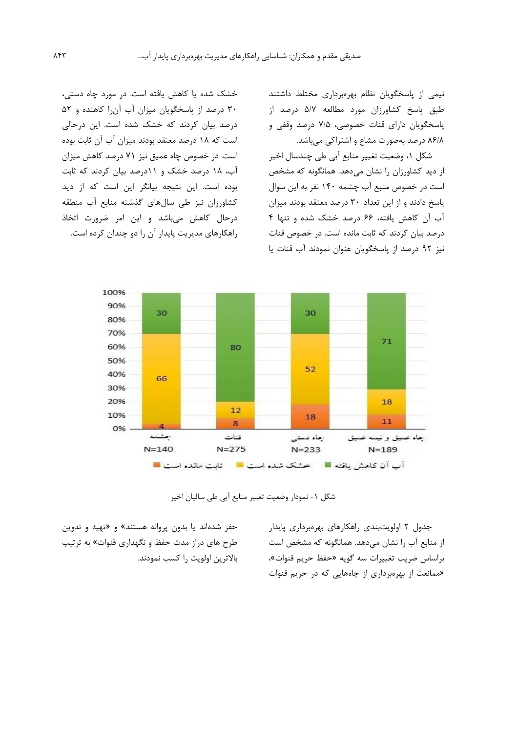نیمی از پاسخگويان نظام بهرهبرداري مختلط داشتند طبق پاسخ کشاورزان مورد مطالعه 5/7 درصد از پاسخگويان داراي قنات خصوصی، 7/5 درصد وقفی و 86/8 درصد بهصورت مشاع و اشتراکی میباشد.

شکل ،1 وضعیت تغییر منابع آبی طی چندسال اخیر از ديد کشاورزان را نشان میدهد. همانگونه که مشخص است در خصوص منبع آب چشمه 140 نفر به اين سوال پاسخ دادند و از اين تعداد 30 درصد معتقد بودند میزان آب آن کاهش يافته، 66 درصد خشک شده و تنها 4 درصد بیان کردند که ثابت مانده است. در خصوص قنات نیز 92 درصد از پاسخگويان عنوان نمودند آب قنات يا

خشک شده يا کاهش يافته است. در مورد چاه دستی، 30 درصد از پاسخگويان میزان آب آنرا کاهنده و 52 درصد بیان کردند که خشک شده است. اين درحالی است که 18 درصد معتقد بودند میزان آب آن ثابت بوده است. در خصوص چاه عمیق نیز 71 درصد کاهش میزان آب، 18 درصد خشک و 11درصد بیان کردند که ثابت بوده است. اين نتیجه بیانگر اين است که از ديد کشاورزان نیز طی سالهاي گذشته منابع آب منطقه درحال کاهش میباشد و اين امر ضرورت اتخاذ راهکارهاي مديريت پايدار آن را دو چندان کرده است.



شکل ۱- نمودار وضعیت تغییر منابع آبی طی سالیان اخیر

جدول 2 اولويتبندي راهکارهاي بهرهبرداري پايدار از منابع آب را نشان میدهد. همانگونه که مشخص است براساس ضريب تغییرات سه گويه »حفظ حريم قنوات«، »ممانعت از بهرهبرداري از چاههايی که در حريم قنوات

حفر شدهاند يا بدون پروانه هستند« و »تهیه و تدوين طرح هاي دراز مدت حفظ و نگهداري قنوات« به ترتیب باالترين اولويت را کسب نمودند.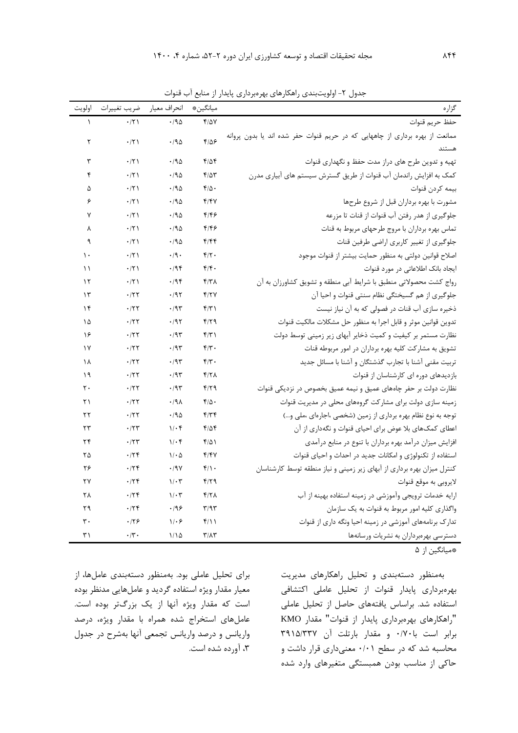| گزاره                                                                        | ميانگين*                          | انحراف معيار       | ضريب تغييرات       | اولويت         |
|------------------------------------------------------------------------------|-----------------------------------|--------------------|--------------------|----------------|
| حفظ حريم قنوات                                                               | $Y/\Delta V$                      | .40                | $\cdot$ /٢١        | $\lambda$      |
| ممانعت از بهره برداری از چاههایی که در حریم قنوات حفر شده اند یا بدون پروانه | $f/\Delta$ ۶                      | $\cdot$ /90        | .71                | ٢              |
| هستند                                                                        |                                   |                    |                    |                |
| تهیه و تدوین طرح های دراز مدت حفظ و نگهداری قنوات                            | ۴۱۵۴                              | .40                | $\cdot$ /٢١        | ٣              |
| کمک به افزایش راندمان آب قنوات از طریق گسترش سیستم های آبیاری مدرن           | $f/\Delta r$                      | .190               | .771               | ۴              |
| بيمه كردن قنوات                                                              | $f/\Delta$ .                      | .40                | $\cdot$ /٢١        | ۵              |
| مشورت با بهره برداران قبل از شروع طرحها                                      | f/fV                              | .190               | .771               | ۶              |
| جلوگیری از هدر رفتن آب قنوات از قنات تا مزرعه                                | ۴۱۴۶                              | .190               | .771               | ٧              |
| تماس بهره برداران با مروج طرحهای مربوط به قنات                               | ۴۱۴۶                              | .190               | .77                | γ              |
| جلوگیری از تغییر کاربری اراضی طرفین قنات                                     | ۴۱۴۴                              | .790               | $\cdot$ /٢١        | ٩              |
| اصلاح قوانین دولتی به منظور حمایت بیشتر از قنوات موجود                       | $f/\tau$ .                        | $\cdot$ /9 $\cdot$ | .71                | $\mathcal{L}$  |
| ایجاد بانک اطلاعاتی در مورد قنوات                                            | f/f.                              | .198               | .71                | ۱۱             |
| رواج كشت محصولاتي منطبق با شرايط آبي منطقه و تشويق كشاورزان به آن            | ۴۱۳۸                              | .798               | .71                | $\gamma$       |
| جلوگیری از هم گسیختگی نظام سنتی قنوات و احیا آن                              | Y/YY                              | .195               | .777               | ۱۳             |
| ذخیره سازی آب قنات در فصولی که به آن نیاز نیست                               | f/T                               | .195               | .157               | ۱۴             |
| تدوين قوانين موثر و قابل اجرا به منظور حل مشكلات مالكيت قنوات                | 4/29                              | .195               | .777               | ۱۵             |
| نظارت مستمر بر کیفیت و کمیت ذخایر آبهای زیر زمینی توسط دولت                  | f(T)                              | $\cdot$ /9٣        | .777               | ۱۶             |
| تشویق به مشارکت کلیه بهره برداران در امور مربوطه قنات                        | $f/\tau$ .                        | $\cdot$ /9٣        | .777               | ١٧             |
| تربیت مقنی آشنا با تجارب گذشتگان و آشنا با مسائل جدید                        | $f/\tau$ .                        | .795               | .777               | ۱۸             |
| بازدیدهای دوره ای کارشناسان از قنوات                                         | ۴۱۲۸                              | $\cdot$ /9٣        | .777               | ۱۹             |
| نظارت دولت بر حفر چاههای عمیق و نیمه عمیق بخصوص در نزدیکی قنوات              | $f/\zeta$                         | .195               | .157               | ٢٠             |
| زمینه سازی دولت برای مشارکت گروههای محلی در مدیریت قنوات                     | $f/\Delta$ .                      | .44                | .777               | ۲۱             |
| توجه به نوع نظام بهره برداري از زمين (شخصي ،اجارهاي ،ملي و)                  | $f/\uparrow f$                    | .190               | .157               | ٢٢             |
| اعطای کمکهای بلا عوض برای احیای قنوات و نگهداری از آن                        | ۴/۵۴                              | $1/\cdot$ ۴        | .75                | ٢٣             |
| افزایش میزان درآمد بهره برداران با تنوع در منابع درآمدی                      | $f/\Delta$                        | $1/\cdot$ ۴        | .75                | ٢۴             |
| استفاده از تکنولوژی و امکانات جدید در احداث و احیای قنوات                    | 4/14                              | 1/2                | .75                | ۲۵             |
| کنترل میزان بهره برداری از آبهای زیر زمینی و نیاز منطقه توسط کارشناسان       | $f/\rightarrow$                   | .19V               | .75                | ۲۶             |
| لايروبي به موقع قنوات                                                        | f/T                               | $1/\cdot 7$        | .179               | ٢٧             |
| ارایه خدمات ترویجی وآموزشی در زمینه استفاده بهینه از آب                      | $f/7\lambda$                      | $1/\cdot 7$        | .75                | ٢٨             |
| واگذاری کلیه امور مربوط به قنوات به یک سازمان                                | $\mathbf{r}/\mathbf{a}\mathbf{r}$ | .199               | .75                | ۲۹             |
| تدارک برنامههای آموزشی در زمینه احیا ونگه داری از قنوات                      | $f/\lambda$                       | 1.9                | .179               | $\mathbf{r}$ . |
| دسترسی بهرهبرداران به نشریات ورسانهها                                        | $\mathbf{r}/\mathbf{r}$           | 1/10               | $\cdot$ /٣ $\cdot$ | ۳۱             |

جدول ٢- اولويتبندي راهکارهاي بهرهبرداري پايدار از منابع آب قنوات

\*میانگین از 5

براي تحلیل عاملی بود. بهمنظور دستهبندي عاملها، از معیار مقدار ويژه استفاده گرديد و عاملهايی مدنظر بوده است که مقدار ويژه آنها از يک بزرگتر بوده است. عاملهاي استخراج شده همراه با مقدار ويژه، درصد واريانس و درصد واريانس تجمعی آنها بهشرح در جدول ،3 آورده شده است. بهمنظور دستهبندي و تحلیل راهکارهاي مديريت بهرهبرداري پايدار قنوات از تحلیل عاملی اکتشافی استفاده شد. براساس يافتههاي حاصل از تحلیل عاملی "راهکارهاي بهرهبرداري پايدار از قنوات" مقدار KMO برابر است با0/70 و مقدار بارتلت آن 3915/337 محاسبه شد که در سطح 0/01 معنیداري قرار داشت و حاکی از مناسب بودن همبستگی متغیرهاي وارد شده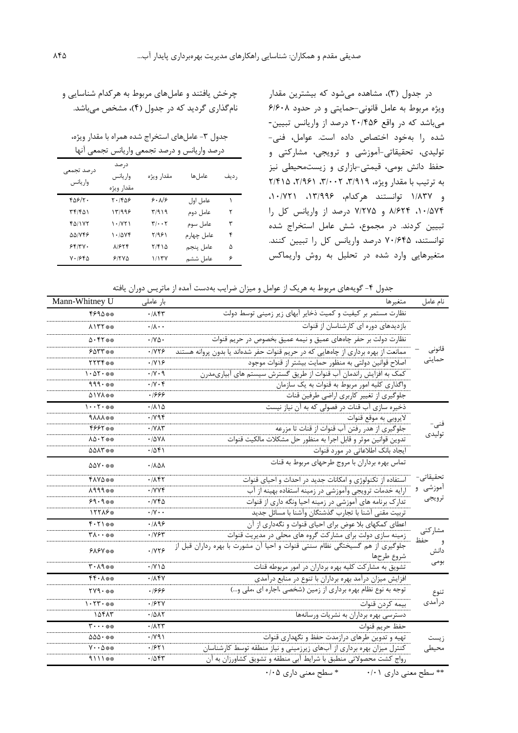در جدول )3(، مشاهده میشود که بیشترين مقدار ويژه مربوط به عامل قانونی-حمايتی و در حدود 6/608 میباشد که در واقع 20/456 درصد از واريانس تبیین- شده را بهخود اختصاص داده است. عوامل، فنی- تولیدي، تحقیقاتی-آموزشی و ترويجی، مشارکتی و حفظ دانش بومی، قیمتی-بازاري و زيستمحیطی نیز به ترتیب با مقدار ویژه، ۳/۹۱۹، ۲/۹۶۱، ۲/۴۱۵ و 1/837 توانستند هرکدام، ،13/996 ،10/721 ،10/574 8/624 و 7/275 درصد از واريانس کل را تبیین کردند. در مجموع، شش عامل استخراج شده توانستند، 70/645 درصد واريانس کل را تبیین کنند. متغیرهايی وارد شده در تحلیل به روش واريماکس

# چرخش يافتند و عاملهاي مربوط به هرکدام شناسايی و نامگذاري گرديد که در جدول )4(، مشخص میباشد.

جدول ٣- عاملهاي استخراج شده همراه با مقدار ويژه،

| درصد واریانس و درصد تجمعی واریانس تجمعی انها |  |  |  |  |  |
|----------------------------------------------|--|--|--|--|--|
|----------------------------------------------|--|--|--|--|--|

| درصد تجمعى<br>وار يانس | در صد<br>واريانس<br>مقدار ويژه | مقدار ويژه                        | عامل ها    | , ديف |
|------------------------|--------------------------------|-----------------------------------|------------|-------|
| $Y\Delta Y/Y$ .        | ۲۰/۴۵۶                         | 9.19                              | عامل اول   | ١     |
| ۳۴/۴۵۱                 | ۱۳/۹۹۶                         | ۳/۹۱۹                             | عامل دوم   | ٢     |
| 40/175                 | 1.7Y                           | $\mathbf{r}/\cdot\cdot\mathbf{r}$ | عامل سوم   | ٣     |
| <b>AAIVFE</b>          | $1 - \Delta Vf$                | ۲/۹۶۱                             | عامل چهارم | ۴     |
| 55/7.                  | 81654                          | ۲/۴۱۵                             | عامل ينجم  | ۵     |
| ۲۰۱۶۴۵                 | 51500                          | ۱/۱۳۷                             | عامل ششم   | ۶     |

جدول ۴- گويههاي مربوط به هريک از عوامل و ميزان ضرايب بهدست آمده از ماتريس دوران يافته

| نام عامل                 | متغيرها                                                                                   | بار عاملی                              | Mann-Whitney U                                    |
|--------------------------|-------------------------------------------------------------------------------------------|----------------------------------------|---------------------------------------------------|
|                          | نظارت مستمر بر کیفیت و کمیت ذخایر آبهای زیر زمینی توسط دولت                               | $\cdot$ / $\lambda$ ۴۳                 | 4894**                                            |
|                          | بازدیدهای دوره ای کارشناسان از قنوات                                                      | $\cdot/\lambda\cdot\cdot$              | $\lambda$ $\lambda$ $\lambda$ $\lambda$ $\lambda$ |
|                          | نظارت دولت بر حفر چاههای عمیق و نیمه عمیق بخصوص در حریم قنوات                             | $\cdot$ / Y $\Delta$ $\cdot$           | $\Delta$ . 47**                                   |
| قانونى                   | ممانعت از بهره برداری از چاههایی که در حریم قنوات حفر شدهاند یا بدون پروانه هستند         | .1179                                  | $605$ ***                                         |
| حمايتى                   | اصلاح قوانین دولتی به منظور حمایت بیشتر از قنوات موجود                                    | $\cdot$ /Y \ $\circ$                   | 55544                                             |
|                          | کمک به افزایش راندمان آب قنوات از طریق گسترش سیستم های آبیاریمدرن                         | $\cdot$ / $\vee$ $\cdot$ 9             | $1.27.$ **                                        |
|                          | واگذاری کلیه امور مربوط به قنوات به یک سازمان                                             | $\cdot$ / $\vee$ $\cdot$ $\circ$       | $999.***$                                         |
|                          | جلوگیری از تغییر کاربری اراضی طرفین قنات                                                  | ۱۶۶۶                                   | A1YA**                                            |
|                          | ذخیره سازی آب قنات در فصولی که به آن نیاز نیست                                            | .710                                   | $1 \cdot \cdot 7 \cdot$ **                        |
|                          | لايروبي به موقع قنوات                                                                     | .798                                   | <b>NAAA</b> **                                    |
| فنی-                     | جلوگیری از هدر رفتن آب قنوات از قنات تا مزرعه                                             | $\cdot$ / $\vee$ $\wedge$ $\vee$       | 4997**                                            |
| توليدى                   | تدوين قوانين موثر و قابل اجرا به منظور حل مشكلات مالكيت قنوات                             | $\cdot$ /5 $\lambda$                   | $\Lambda\Delta\cdot$ ٢ $\frac{1}{2}$              |
|                          | ایجاد بانک اطلاعاتی در مورد قنوات                                                         | .7051                                  | <b>AAAT **</b>                                    |
|                          | تماس بهره برداران با مروج طرحهای مربوط به قنات                                            | $\cdot$ / $\lambda$ $\Delta$ $\lambda$ | $\Delta \Delta V \cdot$ **                        |
| تحقیقاتے ۔               | استفاده از تکنولوژی و امکانات جدید در احداث و احیای قنوات                                 | .785                                   | <b>FAYA**</b>                                     |
| آموزشی و<br>ترويجي       | ارایه خدمات ترویجی وآموزشی در زمینه استفاده بهینه از آب                                   | .7YY                                   | **199                                             |
|                          | تدارک برنامه های آموزشی در زمینه احیا ونگه داری از قنوات                                  | $\cdot$ / $\vee$ $\uparrow$ $\uparrow$ | $9.9***$                                          |
|                          | تربيت مقنى آشنا با تجارب گذشتگان وأشنا با مسائل جديد                                      | $\cdot$ /Y $\cdot$ $\cdot$             | 15518*                                            |
|                          | اعطای کمکهای بلا عوض برای احیای قنوات و نگهداری از آن                                     | .1199                                  | $f.71**$                                          |
| مشاركتي                  | زمینه سازی دولت برای مشارکت گروه های محلی در مدیریت قنوات                                 | .195                                   | $*_{\Lambda} \cdots$                              |
| حفظ<br>و<br>دانش<br>بومى | جلوگیری از هم گسیختگی نظام سنتی قنوات و احیا آن مشورت با بهره رداران قبل از<br>شروع طرحها | .1175                                  | <b>FAFY **</b>                                    |
|                          | تشویق به مشارکت کلیه بهره برداران در امور مربوطه قنات                                     | $\cdot$ / $\vee$ $\wedge$ $\triangle$  | $T - \Lambda$ ٩                                   |
| تنوع<br>درآمدی           | افزایش میزان درآمد بهره برداران با تنوع در منابع درآمدی                                   | $\cdot$ / $\wedge$ $\uparrow$ $\vee$   | $*$ * $*$ + $*$                                   |
|                          | توجه به نوع نظام بهره برداری از زمین (شخصی ،اجاره ای ،ملی و…)                             | ۱۶۶۶                                   | $TV9.***$                                         |
|                          | بيمه كردن قنوات                                                                           | .197Y                                  | $1.577.$ **                                       |
|                          | دسترسی بهره برداران به نشریات ورسانهها                                                    | .7017                                  | 10415                                             |
| ز يست<br>محيطى           | حفظ حريم قنوات                                                                            | $\cdot$ / $\wedge$ $\wedge$ $\vee$     | $\mathbf{y} \cdot \cdot \cdot \cdot \mathbf{z}$   |
|                          | تهیه و تدوین طرهای درازمدت حفظ و نگهداری قنوات                                            | $\cdot$ / Y 9 )                        | $\Delta\Delta\Delta\cdot$ **                      |
|                          | کنترل میزان بهره برداری از آبهای زیرزمینی و نیاز منطقه توسط کارشناسان                     | $\cdot$ /۶۲۱                           | $V \cdot \Delta$ **                               |
|                          | رواج کشت محصولاتی منطبق با شرایط آبی منطقه و تشویق کشاورزان به آن                         | ۰/۵۴۳                                  | 4111**                                            |

\*\* سطح معنی داري 0/01 \* سطح معنی داري 0/05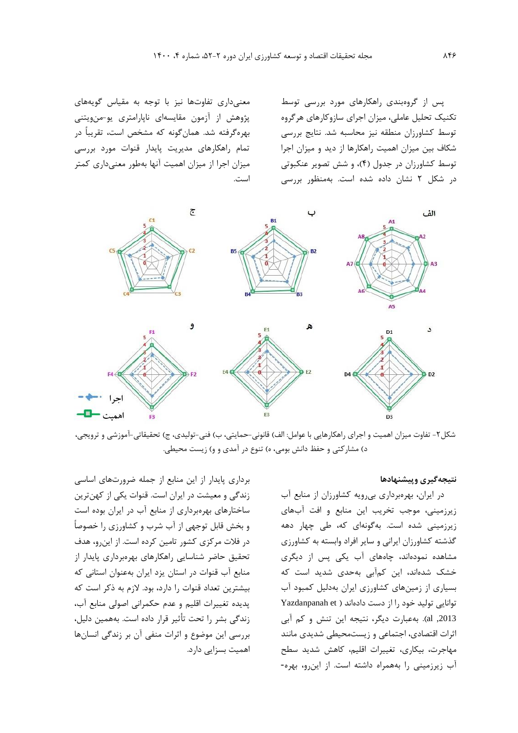پس از گروهبندي راهکارهاي مورد بررسی توسط تکنیک تحلیل عاملی، میزان اجراي سازوکارهاي هرگروه توسط کشاورزان منطقه نیز محاسبه شد. نتايج بررسی شکاف بین میزان اهمیت راهکارها از ديد و میزان اجرا توسط کشاورزان در جدول )4(، و شش تصوير عنکبوتی در شکل 2 نشان داده شده است. بهمنظور بررسی

معنیداري تفاوتها نیز با توجه به مقیاس گويههاي پژوهش از آزمون مقايسهاي ناپارامتري يو-منويتنی بهرهگرفته شد. همانگونه که مشخص است، تقريباً در تمام راهکارهاي مديريت پايدار قنوات مورد بررسی میزان اجرا از میزان اهمیت آنها بهطور معنیداري کمتر است.



شکل۲- تفاوت میزان اهمیت و اجرای راهکارهايی با عوامل: الف) قانونی-حمايتی، ب) فنی-توليدی، ج) تحقيقاتی-آموزشی و ترويجی، د) مشارکتی و حفظ دانش بومی، ه) تنوع در آمدی و و) زيست محيطی.

# **نتيجهگيري وپيشنهادها**

در ايران، بهرهبرداري بیرويه کشاورزان از منابع آب زيرزمینی، موجب تخريب اين منابع و افت آبهاي زيرزمینی شده است. بهگونهاي که، طی چهار دهه گذشته کشاورزان ايرانی و ساير افراد وابسته به کشاورزي مشاهده نمودهاند، چاههاي آب يکی پس از ديگري خشک شدهاند، اين کمآبی بهحدي شديد است که بسیاري از زمینهاي کشاورزي ايران بهدلیل کمبود آب توانايی تولید خود را از دست دادهاند ) et Yazdanpanah ,2013 al). بهعبارت ديگر، نتیجه اين تنش و کم آبی اثرات اقتصادي، اجتماعی و زيستمحیطی شديدي مانند مهاجرت، بیکاري، تغییرات اقلیم، کاهش شديد سطح آب زيرزمینی را بههمراه داشته است. از اينرو، بهره-

برداري پايدار از اين منابع از جمله ضرورتهاي اساسی زندگی و معیشت در ايران است. قنوات يکی از کهنترين ساختارهاي بهرهبرداري از منابع آب در ايران بوده است و بخش قابل توجهی از آب شرب و کشاورزي را خصوصاً در فالت مرکزي کشور تامین کرده است. از اينرو، هدف تحقیق حاضر شناسايی راهکارهاي بهرهبرداري پايدار از منابع آب قنوات در استان يزد ايران بهعنوان استانی که بیشترين تعداد قنوات را دارد، بود. الزم به ذکر است که پديده تغییرات اقلیم و عدم حکمرانی اصولی منابع آب، زندگی بشر را تحت تأثیر قرار داده است. بههمین دلیل، بررسی اين موضوع و اثرات منفی آن بر زندگی انسانها اهمیت بسزايی دارد.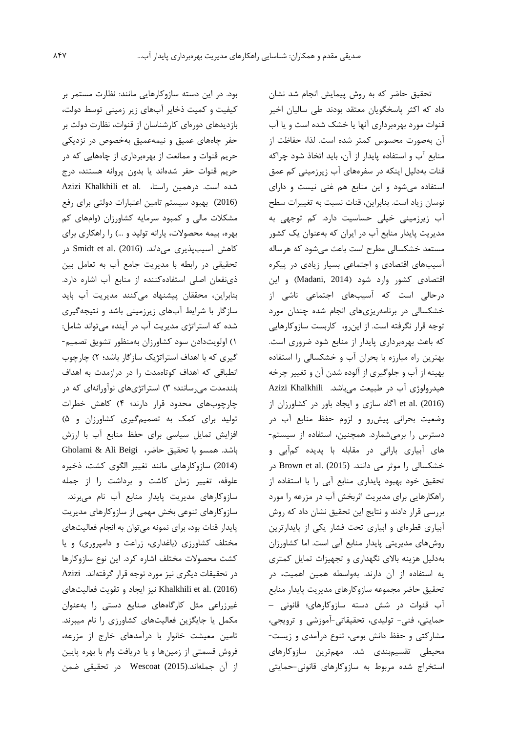تحقیق حاضر که به روش پیمايش انجام شد نشان داد که اکثر پاسخگويان معتقد بودند طی سالیان اخیر قنوات مورد بهرهبرداري آنها يا خشک شده است و يا آب آن بهصورت محسوس کمتر شده است. لذا، حفاظت از منابع آب و استفاده پايدار از آن، بايد اتخاذ شود چراکه قنات بهدلیل اينکه در سفرههاي آب زيرزمینی کم عمق استفاده میشود و اين منابع هم غنی نیست و داراي نوسان زياد است. بنابراين، قنات نسبت به تغییرات سطح آب زيرزمینی خیلی حساسیت دارد. کم توجهی به مديريت پايدار منابع آب در ايران که بهعنوان يک کشور مستعد خشکسالی مطرح است باعث میشود که هرساله آسیبهاي اقتصادي و اجتماعی بسیار زيادي در پیکره اقتصادي کشور وارد شود )2014 ,Madani )و اين درحالی است که آسیبهاي اجتماعی ناشی از خشکسالی در برنامهريزيهاي انجام شده چندان مورد توجه قرار نگرفته است. از اينرو، کاربست سازوکارهايی که باعث بهرهبرداري پايدار از منابع شود ضروري است. بهترين راه مبارزه با بحران آب و خشکسالی را استفاده بهینه از آب و جلوگیري از آلوده شدن آن و تغییر چرخه هیدرولوژي آب در طبیعت میباشد. Khalkhili Azizi (2016) .al et آگاه سازي و ايجاد باور در کشاورزان از وضعیت بحرانی پیشرو و لزوم حفظ منابع آب در دسترس را برمیشمارد. همچنین، استفاده از سیستم- هاي آبیاري بارانی در مقابله با پديده کمآبی و خشکسالی را موثر می دانند. (2015) Brown et al. در تحقیق خود بهبود پايداري منابع آبی را با استفاده از راهکارهايی براي مديريت اثربخش آب در مزرعه را مورد بررسی قرار دادند و نتايج اين تحقیق نشان داد که روش آبیاري قطرهاي و ابیاري تحت فشار يکی از پايدارترين روشهاي مديريتی پايدار منابع آبی است. اما کشاورزان بهدلیل هزينه باالي نگهداري و تجهیزات تمايل کمتري يه استفاده از آن دارند. بهواسطه همین اهمیت، در تحقیق حاضر مجموعه سازوکارهاي مديريت پايدار منابع آب قنوات در شش دسته سازوکارهاي؛ قانونی – حمايتی، فنی- تولیدي، تحقیقاتی-آموزشی و ترويجی، مشارکتی و حفظ دانش بومی، تنوع درآمدي و زيست- محیطی تقسیمبندي شد. مهمترين سازوکارهاي استخراج شده مربوط به سازوکارهاي قانونی-حمايتی

بود. در اين دسته سازوکارهايی مانند: نظارت مستمر بر کیفیت و کمیت ذخاير آبهاي زير زمینی توسط دولت، بازديدهاي دورهاي کارشناسان از قنوات، نظارت دولت بر حفر چاههاي عمیق و نیمهعمیق بهخصوص در نزديکی حريم قنوات و ممانعت از بهرهبرداري از چاههايی که در حريم قنوات حفر شدهاند يا بدون پروانه هستند، درج شده است. درهمین راستا، .Azizi Khalkhili et al (2016) بهبود سیستم تامین اعتبارات دولتی براي رفع مشکالت مالی و کمبود سرمايه کشاورزان )وامهاي کم بهره، بیمه محصوالت، يارانه تولید و ...( را راهکاري براي کاهش آسیبپذیری میداند. (2016) Smidt et al. در تحقیقی در رابطه با مديريت جامع آب به تعامل بین ذينفعان اصلی استفادهکننده از منابع آب اشاره دارد. بنابراين، محققان پیشنهاد میکنند مديريت آب بايد سازگار با شرايط آبهاي زيرزمینی باشد و نتیجهگیري شده که استراتژي مديريت آب در آينده میتواند شامل: 1( اولويتدادن سود کشاورزان بهمنظور تشويق تصمیم- گیري که با اهداف استراتژيک سازگار باشد؛ 2( چارچوب انطباقی که اهداف کوتاهمدت را در درازمدت به اهداف بلندمدت میرسانند؛ 3( استراتژيهاي نوآورانهاي که در چارچوبهاي محدود قرار دارند؛ 4( کاهش خطرات تولید براي کمک به تصمیمگیري کشاورزان و 5( افزايش تمايل سیاسی براي حفظ منابع آب با ارزش باشد. همسو با تحقیق حاضر، Beigi Ali & Gholami (2014) سازوکارهايی مانند تغییر الگوي کشت، ذخیره علوفه، تغییر زمان کاشت و برداشت را از جمله سازوکارهاي مديريت پايدار منابع آب نام میبرند. سازوکارهاي تنوعی بخش مهمی از سازوکارهاي مديريت پايدار قنات بود، براي نمونه میتوان به انجام فعالیتهاي مختلف کشاورزي )باغداري، زراعت و دامپروري( و يا کشت محصوالت مختلف اشاره کرد. اين نوع سازوکارها در تحقیقات ديگري نیز مورد توجه قرار گرفتهاند. Azizi (2016) .al et Khalkhili نیز ايجاد و تقويت فعالیتهاي غیرزراعی مثل کارگاههاي صنايع دستی را بهعنوان مکمل يا جايگزين فعالیتهاي کشاورزي را نام میبرند. تامین معیشت خانوار با درآمدهاي خارج از مزرعه، فروش قسمتی از زمینها و يا دريافت وام با بهره پايین از آن جملهاند.(2015) Wescoat در تحقیقی ضمن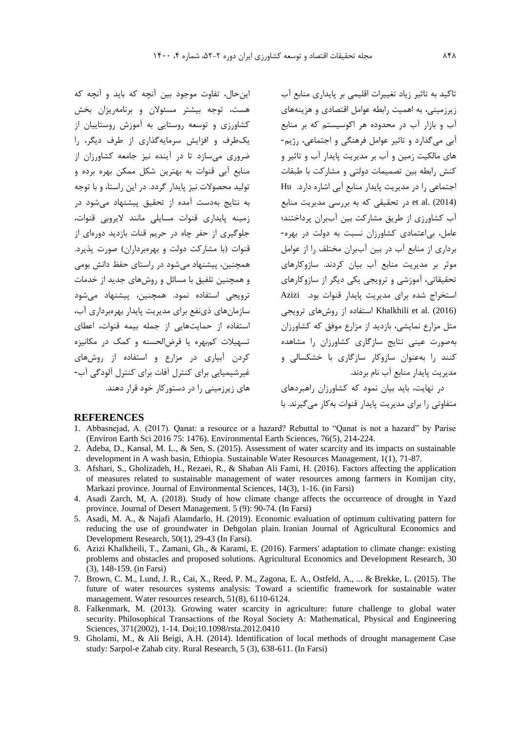اينحال، تفاوت موجود بین آنچه که بايد و آنچه که هست، توجه بیشتر مسئوالن و برنامهريزان بخش کشاورزي و توسعه روستايی به آموزش روستايیان از يکطرف و افزايش سرمايهگذاري از طرف ديگر، را ضروري میسازد تا در آينده نیز جامعه کشاورزان از منابع آبی قنوات به بهترين شکل ممکن بهره برده و تولید محصوالت نیز پايدار گردد. در اين راستا، و با توجه به نتايج بهدست آمده از تحقیق پیشنهاد میشود در زمینه پايداري قنوات مسايلی مانند اليروبی قنوات، جلوگیري از حفر چاه در حريم قنات بازديد دورهاي از قنوات (با مشارکت دولت و بهرهبرداران) صورت پذيرد. همچنین، پیشنهاد میشود در راستاي حفظ دانش بومی و همچنین تلفیق با مسائل و روشهاي جديد از خدمات ترويجی استفاده نمود. همچنین، پیشنهاد میشود سازمانهاي ذينفع براي مديريت پايدار بهرهبرداري آب، استفاده از حمايتهايی از جمله بیمه قنوات، اعطاي تسهیالت کمبهره يا قرضالحسنه و کمک در مکانیزه کردن آبیاري در مزارع و استفاده از روشهاي غیرشیمیايی براي کنترل آفات براي کنترل آلودگی آب- هاي زيرزمینی را در دستورکار خود قرار دهند.

تاکید به تاثیر زياد تغییرات اقلیمی بر پايداري منابع آب زيرزمینی، به اهمیت رابطه عوامل اقتصادي و هزينههاي آب و بازار آب در محدوده هر اکوسیستم که بر منابع آبی میگذارد و تاثیر عوامل فرهنگی و اجتماعی، رژيم- هاي مالکیت زمین و آب بر مديريت پايدار آب و تاثیر و کنش رابطه بین تصمیمات دولتی و مشارکت با طبقات اجتماعی را در مديريت پايدار منابع آبی اشاره دارد. Hu (2014) .al et در تحقیقی که به بررسی مديريت منابع آب کشاورزي از طريق مشارکت بین آببران پرداختند؛ عامل، بیاعتمادي کشاورزان نسبت به دولت در بهره- برداري از منابع آب در بین آببران مختلف را از عوامل موثر بر مديريت منابع آب بیان کردند. سازوکارهاي تحقیقاتی، آموزشی و ترويجی يکی ديگر از سازوکارهاي استخراج شده براي مديريت پايدار قنوات بود. Azizi (2016) .al et Khalkhili استفاده از روشهاي ترويجی مثل مزارع نمايشی، بازديد از مزارع موفق که کشاورزان بهصورت عینی نتايج سازگاري کشاورزان را مشاهده کنند را بهعنوان سازوکار سازگاري با خشکسالی و مديريت پايدار منابع آب نام بردند.

در نهايت، بايد بیان نمود که کشاورزان راهبردهاي متفاوتی را براي مديريت پايدار قنوات بهکار میگیرند. با

#### **REFERENCES**

- 1. Abbasnejad, A. (2017). Qanat: a resource or a hazard? Rebuttal to "Qanat is not a hazard" by Parise (Environ Earth Sci 2016 75: 1476). Environmental Earth Sciences, 76(5), 214-224.
- 2. Adeba, D., Kansal, M. L., & Sen, S. (2015). Assessment of water scarcity and its impacts on sustainable development in A wash basin, Ethiopia. Sustainable Water Resources Management, 1(1), 71-87.
- 3. Afshari, S., Gholizadeh, H., Rezaei, R., & Shaban Ali Fami, H. (2016). Factors affecting the application of measures related to sustainable management of water resources among farmers in Komijan city, Markazi province. Journal of Environmental Sciences, 14(3), 1-16. (in Farsi)
- 4. Asadi Zarch, M, A. (2018). Study of how climate change affects the occurrence of drought in Yazd province. Journal of Desert Management. 5 (9): 90-74. (In Farsi)
- 5. Asadi, M. A., & Najafi Alamdarlo, H. (2019). Economic evaluation of optimum cultivating pattern for reducing the use of groundwater in Dehgolan plain. Iranian Journal of Agricultural Economics and Development Research, 50(1), 29-43 (In Farsi).
- 6. Azizi Khalkheili, T., Zamani, Gh., & Karami, E. (2016). Farmers' adaptation to climate change: existing problems and obstacles and proposed solutions. Agricultural Economics and Development Research, 30 (3), 148-159. (in Farsi)
- 7. Brown, C. M., Lund, J. R., Cai, X., Reed, P. M., Zagona, E. A., Ostfeld, A., ... & Brekke, L. (2015). The future of water resources systems analysis: Toward a scientific framework for sustainable water management. Water resources research, 51(8), 6110-6124.
- 8. Falkenmark, M. (2013). Growing water scarcity in agriculture: future challenge to global water security. Philosophical Transactions of the Royal Society A: Mathematical, Physical and Engineering Sciences, 371(2002), 1-14. Doi;10.1098/rsta.2012.0410
- 9. Gholami, M., & Ali Beigi, A.H. (2014). Identification of local methods of drought management Case study: Sarpol-e Zahab city. Rural Research, 5 (3), 638-611. (In Farsi)